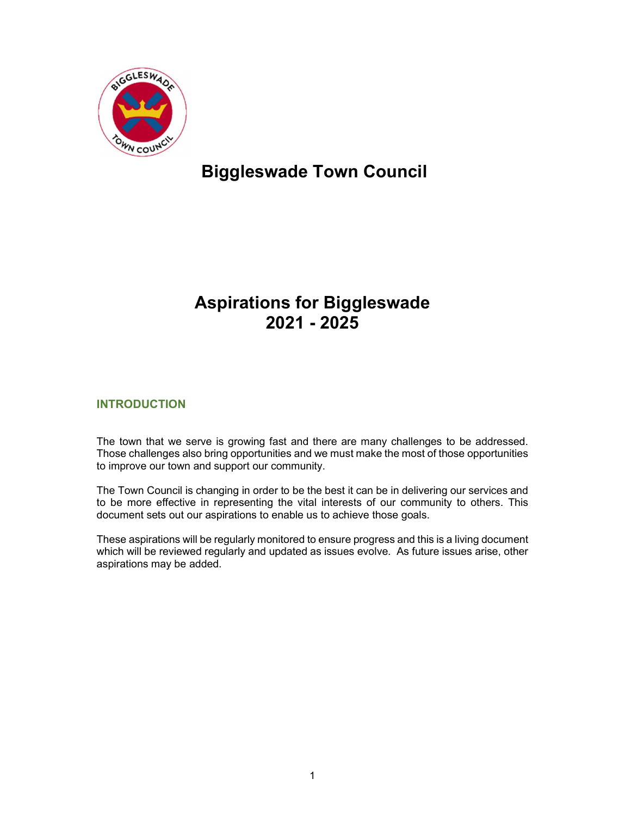

# Biggleswade Town Council

## Aspirations for Biggleswade 2021 - 2025

## INTRODUCTION

The town that we serve is growing fast and there are many challenges to be addressed. Those challenges also bring opportunities and we must make the most of those opportunities to improve our town and support our community.

The Town Council is changing in order to be the best it can be in delivering our services and to be more effective in representing the vital interests of our community to others. This document sets out our aspirations to enable us to achieve those goals.

These aspirations will be regularly monitored to ensure progress and this is a living document which will be reviewed regularly and updated as issues evolve. As future issues arise, other aspirations may be added.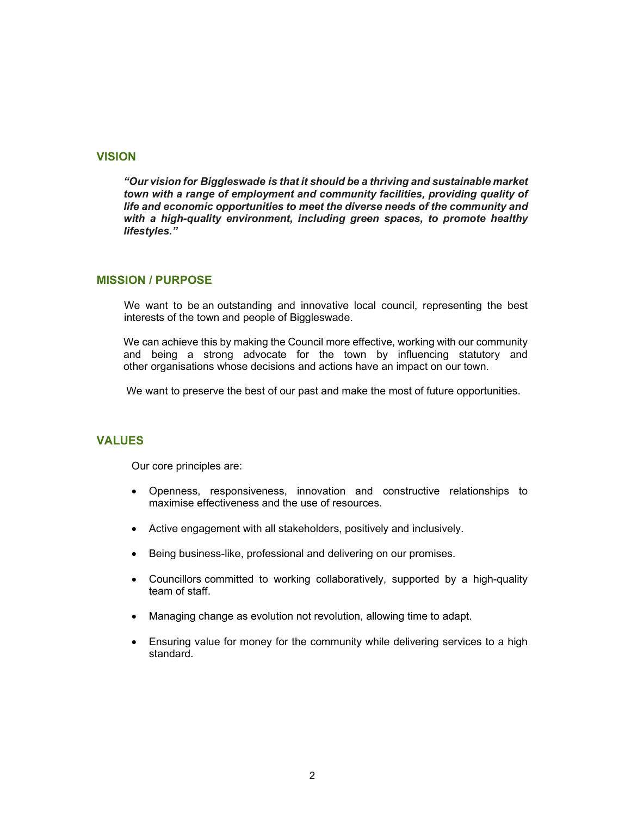#### **VISION**

"Our vision for Biggleswade is that it should be a thriving and sustainable market town with a range of employment and community facilities, providing quality of life and economic opportunities to meet the diverse needs of the community and with a high-quality environment, including green spaces, to promote healthy lifestyles."

#### MISSION / PURPOSE

We want to be an outstanding and innovative local council, representing the best interests of the town and people of Biggleswade.

We can achieve this by making the Council more effective, working with our community and being a strong advocate for the town by influencing statutory and other organisations whose decisions and actions have an impact on our town.

We want to preserve the best of our past and make the most of future opportunities.

#### **VALUES**

Our core principles are:

- Openness, responsiveness, innovation and constructive relationships to maximise effectiveness and the use of resources.
- Active engagement with all stakeholders, positively and inclusively.
- Being business-like, professional and delivering on our promises.
- Councillors committed to working collaboratively, supported by a high-quality team of staff.
- Managing change as evolution not revolution, allowing time to adapt.
- Ensuring value for money for the community while delivering services to a high standard.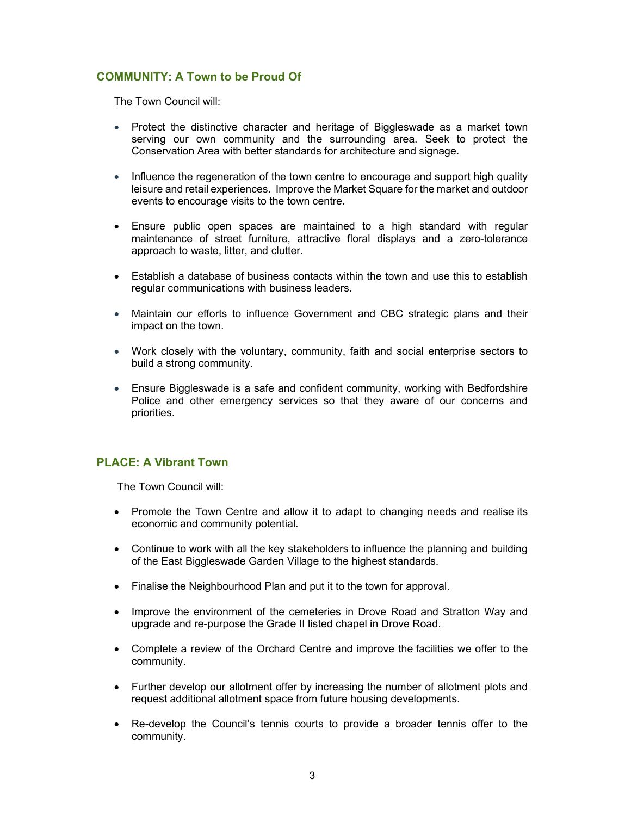## COMMUNITY: A Town to be Proud Of

The Town Council will:

- Protect the distinctive character and heritage of Biggleswade as a market town serving our own community and the surrounding area. Seek to protect the Conservation Area with better standards for architecture and signage.
- Influence the regeneration of the town centre to encourage and support high quality leisure and retail experiences. Improve the Market Square for the market and outdoor events to encourage visits to the town centre.
- Ensure public open spaces are maintained to a high standard with regular maintenance of street furniture, attractive floral displays and a zero-tolerance approach to waste, litter, and clutter.
- Establish a database of business contacts within the town and use this to establish regular communications with business leaders.
- Maintain our efforts to influence Government and CBC strategic plans and their impact on the town.
- Work closely with the voluntary, community, faith and social enterprise sectors to build a strong community.
- Ensure Biggleswade is a safe and confident community, working with Bedfordshire Police and other emergency services so that they aware of our concerns and priorities.

## PLACE: A Vibrant Town

The Town Council will:

- Promote the Town Centre and allow it to adapt to changing needs and realise its economic and community potential.
- Continue to work with all the key stakeholders to influence the planning and building of the East Biggleswade Garden Village to the highest standards.
- Finalise the Neighbourhood Plan and put it to the town for approval.
- Improve the environment of the cemeteries in Drove Road and Stratton Way and upgrade and re-purpose the Grade II listed chapel in Drove Road.
- Complete a review of the Orchard Centre and improve the facilities we offer to the community.
- Further develop our allotment offer by increasing the number of allotment plots and request additional allotment space from future housing developments.
- Re-develop the Council's tennis courts to provide a broader tennis offer to the community.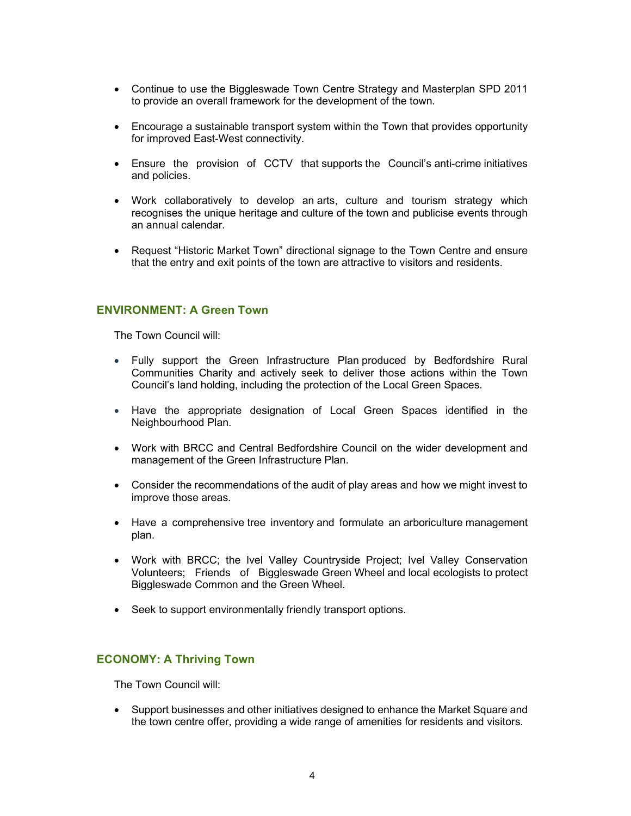- Continue to use the Biggleswade Town Centre Strategy and Masterplan SPD 2011 to provide an overall framework for the development of the town.
- Encourage a sustainable transport system within the Town that provides opportunity for improved East-West connectivity.
- Ensure the provision of CCTV that supports the Council's anti-crime initiatives and policies.
- Work collaboratively to develop an arts, culture and tourism strategy which recognises the unique heritage and culture of the town and publicise events through an annual calendar.
- Request "Historic Market Town" directional signage to the Town Centre and ensure that the entry and exit points of the town are attractive to visitors and residents.

#### ENVIRONMENT: A Green Town

The Town Council will:

- Fully support the Green Infrastructure Plan produced by Bedfordshire Rural Communities Charity and actively seek to deliver those actions within the Town Council's land holding, including the protection of the Local Green Spaces.
- Have the appropriate designation of Local Green Spaces identified in the Neighbourhood Plan.
- Work with BRCC and Central Bedfordshire Council on the wider development and management of the Green Infrastructure Plan.
- Consider the recommendations of the audit of play areas and how we might invest to improve those areas.
- Have a comprehensive tree inventory and formulate an arboriculture management plan.
- Work with BRCC; the Ivel Valley Countryside Project; Ivel Valley Conservation Volunteers; Friends of Biggleswade Green Wheel and local ecologists to protect Biggleswade Common and the Green Wheel.
- Seek to support environmentally friendly transport options.

#### ECONOMY: A Thriving Town

The Town Council will:

 Support businesses and other initiatives designed to enhance the Market Square and the town centre offer, providing a wide range of amenities for residents and visitors.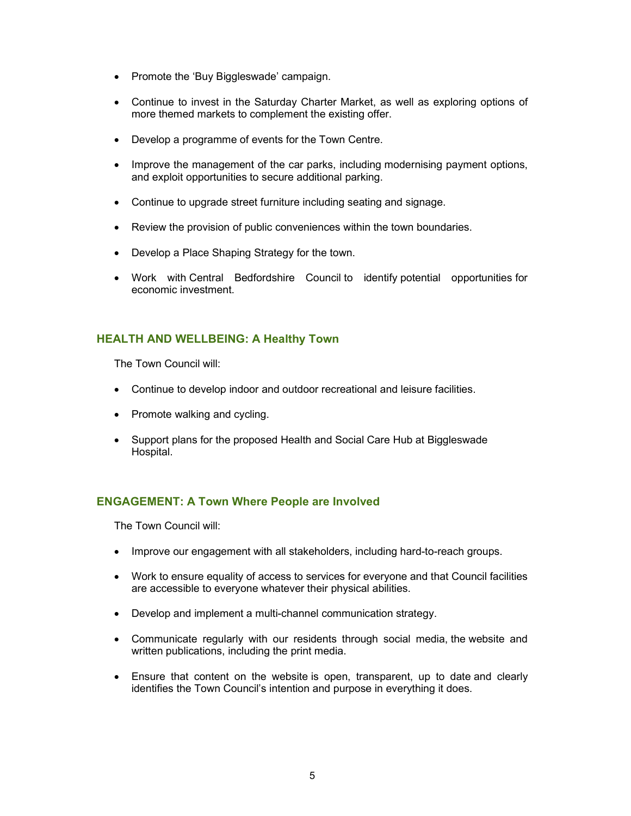- Promote the 'Buy Biggleswade' campaign.
- Continue to invest in the Saturday Charter Market, as well as exploring options of more themed markets to complement the existing offer.
- Develop a programme of events for the Town Centre.
- Improve the management of the car parks, including modernising payment options, and exploit opportunities to secure additional parking.
- Continue to upgrade street furniture including seating and signage.
- Review the provision of public conveniences within the town boundaries.
- Develop a Place Shaping Strategy for the town.
- Work with Central Bedfordshire Council to identify potential opportunities for economic investment.

### HEALTH AND WELLBEING: A Healthy Town

The Town Council will:

- Continue to develop indoor and outdoor recreational and leisure facilities.
- Promote walking and cycling.
- Support plans for the proposed Health and Social Care Hub at Biggleswade Hospital.

## ENGAGEMENT: A Town Where People are Involved

The Town Council will:

- Improve our engagement with all stakeholders, including hard-to-reach groups.
- Work to ensure equality of access to services for everyone and that Council facilities are accessible to everyone whatever their physical abilities.
- Develop and implement a multi-channel communication strategy.
- Communicate regularly with our residents through social media, the website and written publications, including the print media.
- Ensure that content on the website is open, transparent, up to date and clearly identifies the Town Council's intention and purpose in everything it does.